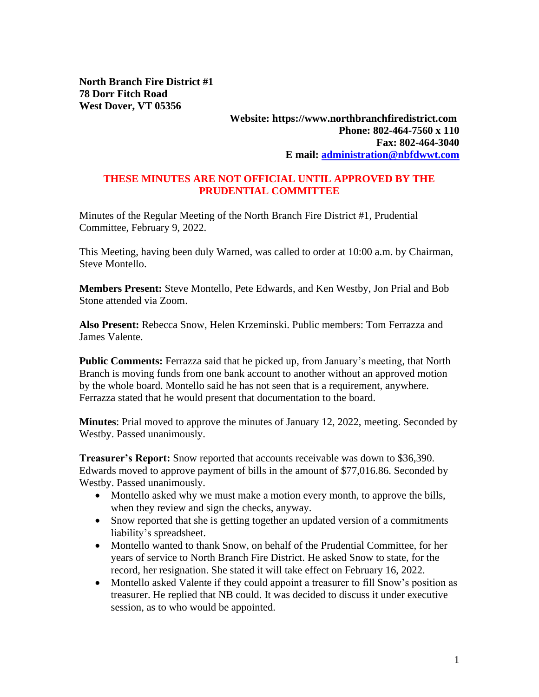**North Branch Fire District #1 78 Dorr Fitch Road West Dover, VT 05356**

## **Website: https://www.northbranchfiredistrict.com Phone: 802-464-7560 x 110 Fax: 802-464-3040 E mail: [administration@nbfdwwt.com](mailto:administration@nbfdwwt.com)**

## **THESE MINUTES ARE NOT OFFICIAL UNTIL APPROVED BY THE PRUDENTIAL COMMITTEE**

Minutes of the Regular Meeting of the North Branch Fire District #1, Prudential Committee, February 9, 2022.

This Meeting, having been duly Warned, was called to order at 10:00 a.m. by Chairman, Steve Montello.

**Members Present:** Steve Montello, Pete Edwards, and Ken Westby, Jon Prial and Bob Stone attended via Zoom.

**Also Present:** Rebecca Snow, Helen Krzeminski. Public members: Tom Ferrazza and James Valente.

**Public Comments:** Ferrazza said that he picked up, from January's meeting, that North Branch is moving funds from one bank account to another without an approved motion by the whole board. Montello said he has not seen that is a requirement, anywhere. Ferrazza stated that he would present that documentation to the board.

**Minutes**: Prial moved to approve the minutes of January 12, 2022, meeting. Seconded by Westby. Passed unanimously.

**Treasurer's Report:** Snow reported that accounts receivable was down to \$36,390. Edwards moved to approve payment of bills in the amount of \$77,016.86. Seconded by Westby. Passed unanimously.

- Montello asked why we must make a motion every month, to approve the bills, when they review and sign the checks, anyway.
- Snow reported that she is getting together an updated version of a commitments liability's spreadsheet.
- Montello wanted to thank Snow, on behalf of the Prudential Committee, for her years of service to North Branch Fire District. He asked Snow to state, for the record, her resignation. She stated it will take effect on February 16, 2022.
- Montello asked Valente if they could appoint a treasurer to fill Snow's position as treasurer. He replied that NB could. It was decided to discuss it under executive session, as to who would be appointed.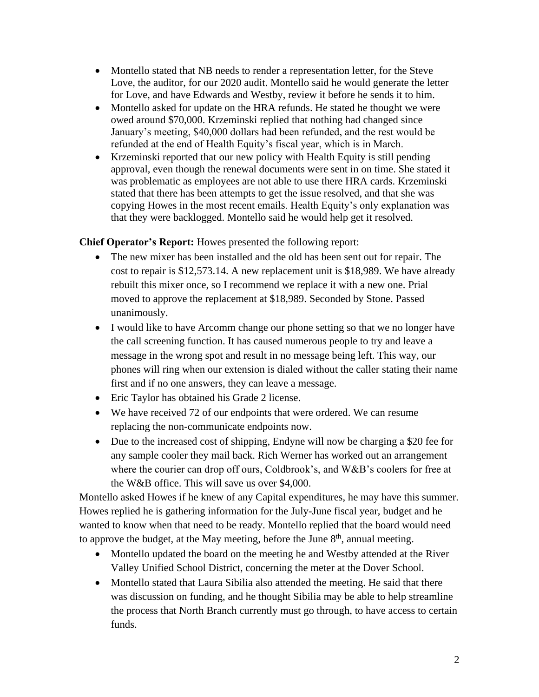- Montello stated that NB needs to render a representation letter, for the Steve Love, the auditor, for our 2020 audit. Montello said he would generate the letter for Love, and have Edwards and Westby, review it before he sends it to him.
- Montello asked for update on the HRA refunds. He stated he thought we were owed around \$70,000. Krzeminski replied that nothing had changed since January's meeting, \$40,000 dollars had been refunded, and the rest would be refunded at the end of Health Equity's fiscal year, which is in March.
- Krzeminski reported that our new policy with Health Equity is still pending approval, even though the renewal documents were sent in on time. She stated it was problematic as employees are not able to use there HRA cards. Krzeminski stated that there has been attempts to get the issue resolved, and that she was copying Howes in the most recent emails. Health Equity's only explanation was that they were backlogged. Montello said he would help get it resolved.

**Chief Operator's Report:** Howes presented the following report:

- The new mixer has been installed and the old has been sent out for repair. The cost to repair is \$12,573.14. A new replacement unit is \$18,989. We have already rebuilt this mixer once, so I recommend we replace it with a new one. Prial moved to approve the replacement at \$18,989. Seconded by Stone. Passed unanimously.
- I would like to have Arcomm change our phone setting so that we no longer have the call screening function. It has caused numerous people to try and leave a message in the wrong spot and result in no message being left. This way, our phones will ring when our extension is dialed without the caller stating their name first and if no one answers, they can leave a message.
- Eric Taylor has obtained his Grade 2 license.
- We have received 72 of our endpoints that were ordered. We can resume replacing the non-communicate endpoints now.
- Due to the increased cost of shipping, Endyne will now be charging a \$20 fee for any sample cooler they mail back. Rich Werner has worked out an arrangement where the courier can drop off ours, Coldbrook's, and W&B's coolers for free at the W&B office. This will save us over \$4,000.

Montello asked Howes if he knew of any Capital expenditures, he may have this summer. Howes replied he is gathering information for the July-June fiscal year, budget and he wanted to know when that need to be ready. Montello replied that the board would need to approve the budget, at the May meeting, before the June  $8<sup>th</sup>$ , annual meeting.

- Montello updated the board on the meeting he and Westby attended at the River Valley Unified School District, concerning the meter at the Dover School.
- Montello stated that Laura Sibilia also attended the meeting. He said that there was discussion on funding, and he thought Sibilia may be able to help streamline the process that North Branch currently must go through, to have access to certain funds.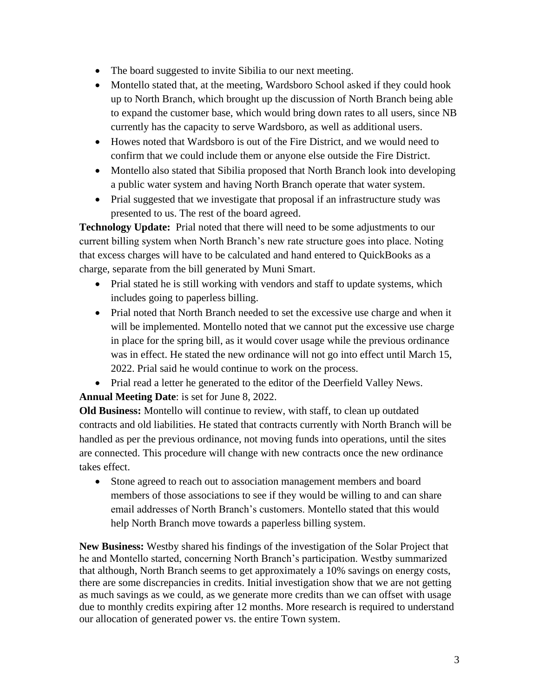- The board suggested to invite Sibilia to our next meeting.
- Montello stated that, at the meeting, Wardsboro School asked if they could hook up to North Branch, which brought up the discussion of North Branch being able to expand the customer base, which would bring down rates to all users, since NB currently has the capacity to serve Wardsboro, as well as additional users.
- Howes noted that Wardsboro is out of the Fire District, and we would need to confirm that we could include them or anyone else outside the Fire District.
- Montello also stated that Sibilia proposed that North Branch look into developing a public water system and having North Branch operate that water system.
- Prial suggested that we investigate that proposal if an infrastructure study was presented to us. The rest of the board agreed.

**Technology Update:** Prial noted that there will need to be some adjustments to our current billing system when North Branch's new rate structure goes into place. Noting that excess charges will have to be calculated and hand entered to QuickBooks as a charge, separate from the bill generated by Muni Smart.

- Prial stated he is still working with vendors and staff to update systems, which includes going to paperless billing.
- Prial noted that North Branch needed to set the excessive use charge and when it will be implemented. Montello noted that we cannot put the excessive use charge in place for the spring bill, as it would cover usage while the previous ordinance was in effect. He stated the new ordinance will not go into effect until March 15, 2022. Prial said he would continue to work on the process.
- Prial read a letter he generated to the editor of the Deerfield Valley News.

**Annual Meeting Date**: is set for June 8, 2022.

**Old Business:** Montello will continue to review, with staff, to clean up outdated contracts and old liabilities. He stated that contracts currently with North Branch will be handled as per the previous ordinance, not moving funds into operations, until the sites are connected. This procedure will change with new contracts once the new ordinance takes effect.

• Stone agreed to reach out to association management members and board members of those associations to see if they would be willing to and can share email addresses of North Branch's customers. Montello stated that this would help North Branch move towards a paperless billing system.

**New Business:** Westby shared his findings of the investigation of the Solar Project that he and Montello started, concerning North Branch's participation. Westby summarized that although, North Branch seems to get approximately a 10% savings on energy costs, there are some discrepancies in credits. Initial investigation show that we are not getting as much savings as we could, as we generate more credits than we can offset with usage due to monthly credits expiring after 12 months. More research is required to understand our allocation of generated power vs. the entire Town system.